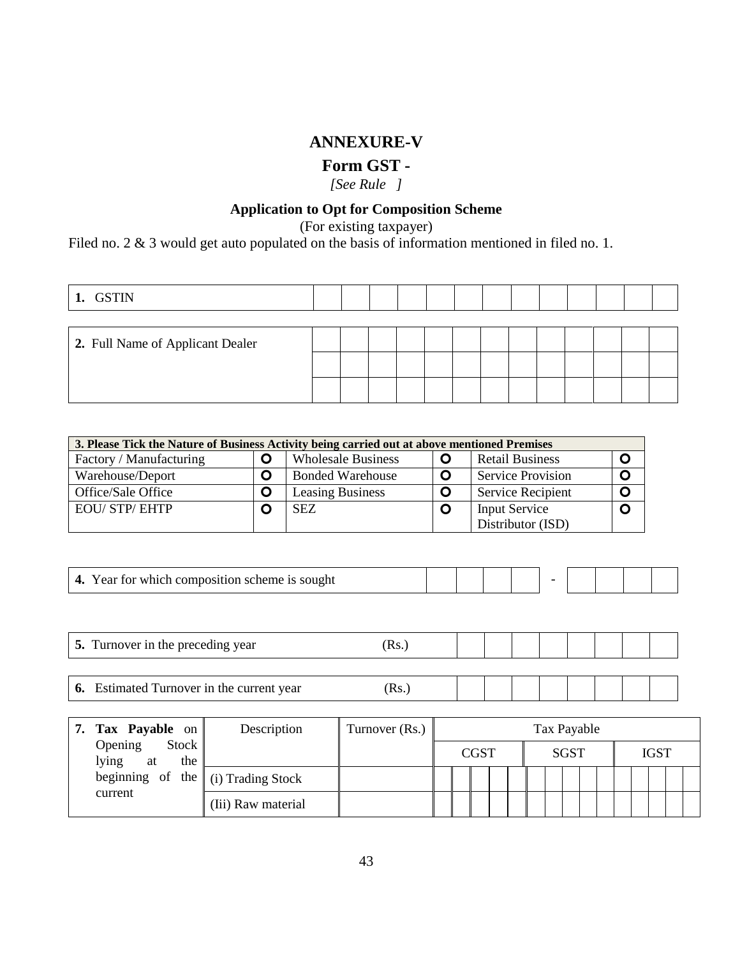## **ANNEXURE-V**

## **Form GST -**

*[See Rule ]*

## **Application to Opt for Composition Scheme**

(For existing taxpayer)

Filed no. 2 & 3 would get auto populated on the basis of information mentioned in filed no. 1.

| 1. GSTIN                         |  |  |  |  |  |  |  |
|----------------------------------|--|--|--|--|--|--|--|
|                                  |  |  |  |  |  |  |  |
| 2. Full Name of Applicant Dealer |  |  |  |  |  |  |  |
|                                  |  |  |  |  |  |  |  |
|                                  |  |  |  |  |  |  |  |

| 3. Please Tick the Nature of Business Activity being carried out at above mentioned Premises |   |                           |   |                          |              |
|----------------------------------------------------------------------------------------------|---|---------------------------|---|--------------------------|--------------|
| Factory / Manufacturing                                                                      |   | <b>Wholesale Business</b> |   | <b>Retail Business</b>   | O            |
| Warehouse/Deport                                                                             | O | <b>Bonded Warehouse</b>   | O | <b>Service Provision</b> | O            |
| Office/Sale Office                                                                           |   | <b>Leasing Business</b>   |   | <b>Service Recipient</b> | O            |
| <b>EOU/STP/EHTP</b>                                                                          |   | <b>SEZ</b>                |   | <b>Input Service</b>     | $\mathbf{o}$ |
|                                                                                              |   |                           |   | Distributor (ISD)        |              |

| f for which composition scheme is sought<br>$\sqrt{2}$<br>Year. |  |  |  |  |  |  |  |  |  |
|-----------------------------------------------------------------|--|--|--|--|--|--|--|--|--|
|-----------------------------------------------------------------|--|--|--|--|--|--|--|--|--|

| -<br>vear<br>$\mathbf{b}$<br>urnover<br>- 1 L<br>The preced<br>T WITHOU AT THE THE |  |  |  |  |  |
|------------------------------------------------------------------------------------|--|--|--|--|--|
|                                                                                    |  |  |  |  |  |

**6.** Estimated Turnover in the current year (Rs.)

| 7. Tax Payable on $\parallel$                  | Description        | Turnover (Rs.) |  |             |  |  |             | Tax Payable |  |             |  |
|------------------------------------------------|--------------------|----------------|--|-------------|--|--|-------------|-------------|--|-------------|--|
| Stock $\ $<br>Opening<br>lying<br>the<br>at    |                    |                |  | <b>CGST</b> |  |  | <b>SGST</b> |             |  | <b>IGST</b> |  |
| beginning of the $\parallel$ (i) Trading Stock |                    |                |  |             |  |  |             |             |  |             |  |
| current                                        | (Iii) Raw material |                |  |             |  |  |             |             |  |             |  |